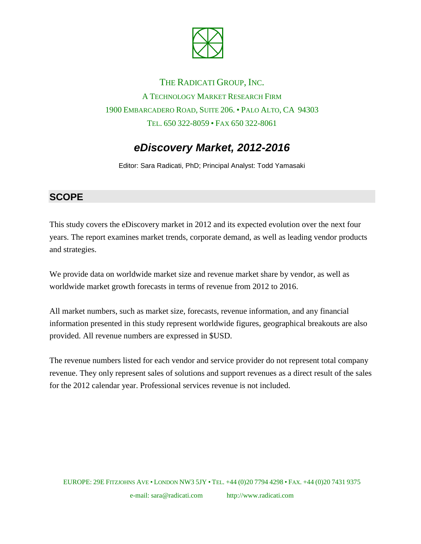

# THE RADICATI GROUP, INC. A TECHNOLOGY MARKET RESEARCH FIRM 1900 EMBARCADERO ROAD, SUITE 206. • PALO ALTO, CA 94303 TEL. 650 322-8059 • FAX 650 322-8061

# *eDiscovery Market, 2012-2016*

Editor: Sara Radicati, PhD; Principal Analyst: Todd Yamasaki

#### **SCOPE**

This study covers the eDiscovery market in 2012 and its expected evolution over the next four years. The report examines market trends, corporate demand, as well as leading vendor products and strategies.

We provide data on worldwide market size and revenue market share by vendor, as well as worldwide market growth forecasts in terms of revenue from 2012 to 2016.

All market numbers, such as market size, forecasts, revenue information, and any financial information presented in this study represent worldwide figures, geographical breakouts are also provided. All revenue numbers are expressed in \$USD.

The revenue numbers listed for each vendor and service provider do not represent total company revenue. They only represent sales of solutions and support revenues as a direct result of the sales for the 2012 calendar year. Professional services revenue is not included.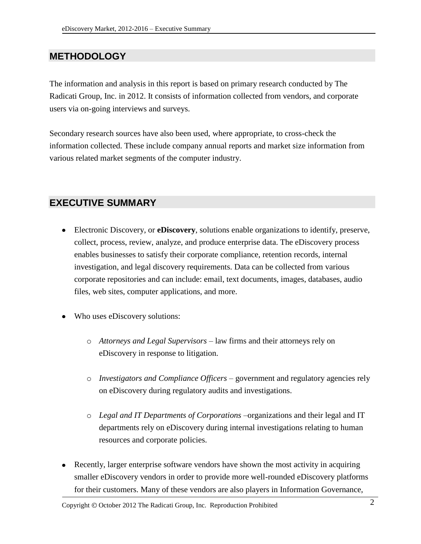### **METHODOLOGY**

The information and analysis in this report is based on primary research conducted by The Radicati Group, Inc. in 2012. It consists of information collected from vendors, and corporate users via on-going interviews and surveys.

Secondary research sources have also been used, where appropriate, to cross-check the information collected. These include company annual reports and market size information from various related market segments of the computer industry.

#### **EXECUTIVE SUMMARY**

- Electronic Discovery, or **eDiscovery**, solutions enable organizations to identify, preserve, collect, process, review, analyze, and produce enterprise data. The eDiscovery process enables businesses to satisfy their corporate compliance, retention records, internal investigation, and legal discovery requirements. Data can be collected from various corporate repositories and can include: email, text documents, images, databases, audio files, web sites, computer applications, and more.
- Who uses eDiscovery solutions:
	- o *Attorneys and Legal Supervisors* law firms and their attorneys rely on eDiscovery in response to litigation.
	- o *Investigators and Compliance Officers* government and regulatory agencies rely on eDiscovery during regulatory audits and investigations.
	- o *Legal and IT Departments of Corporations* –organizations and their legal and IT departments rely on eDiscovery during internal investigations relating to human resources and corporate policies.
- Recently, larger enterprise software vendors have shown the most activity in acquiring smaller eDiscovery vendors in order to provide more well-rounded eDiscovery platforms for their customers. Many of these vendors are also players in Information Governance,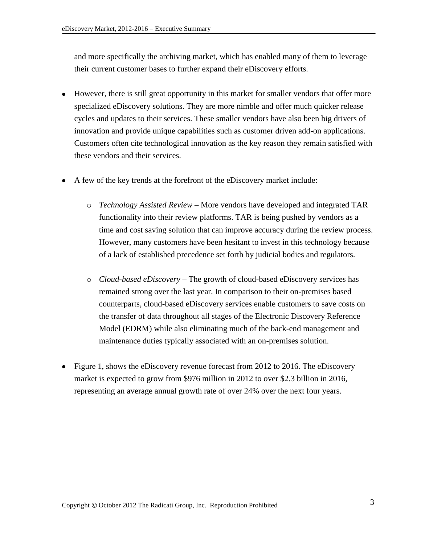and more specifically the archiving market, which has enabled many of them to leverage their current customer bases to further expand their eDiscovery efforts.

- However, there is still great opportunity in this market for smaller vendors that offer more specialized eDiscovery solutions. They are more nimble and offer much quicker release cycles and updates to their services. These smaller vendors have also been big drivers of innovation and provide unique capabilities such as customer driven add-on applications. Customers often cite technological innovation as the key reason they remain satisfied with these vendors and their services.
- A few of the key trends at the forefront of the eDiscovery market include:
	- o *Technology Assisted Review* More vendors have developed and integrated TAR functionality into their review platforms. TAR is being pushed by vendors as a time and cost saving solution that can improve accuracy during the review process. However, many customers have been hesitant to invest in this technology because of a lack of established precedence set forth by judicial bodies and regulators.
	- o *Cloud-based eDiscovery* The growth of cloud-based eDiscovery services has remained strong over the last year. In comparison to their on-premises based counterparts, cloud-based eDiscovery services enable customers to save costs on the transfer of data throughout all stages of the Electronic Discovery Reference Model (EDRM) while also eliminating much of the back-end management and maintenance duties typically associated with an on-premises solution.
- Figure 1, shows the eDiscovery revenue forecast from 2012 to 2016. The eDiscovery market is expected to grow from \$976 million in 2012 to over \$2.3 billion in 2016, representing an average annual growth rate of over 24% over the next four years.